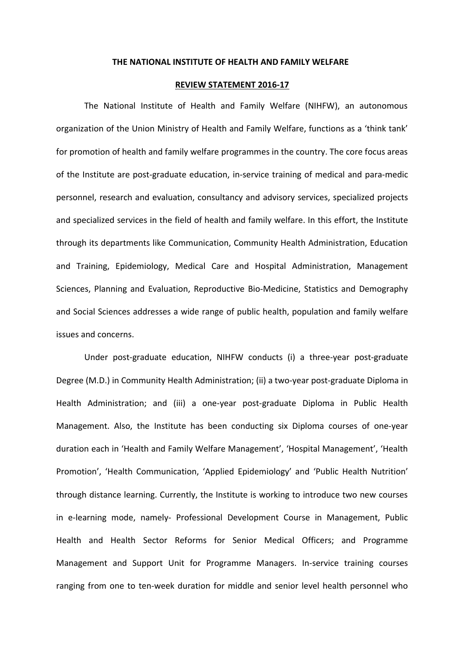## **THE NATIONAL INSTITUTE OF HEALTH AND FAMILY WELFARE**

## **REVIEW STATEMENT 2016-17**

The National Institute of Health and Family Welfare (NIHFW), an autonomous organization of the Union Ministry of Health and Family Welfare, functions as a 'think tank' for promotion of health and family welfare programmes in the country. The core focus areas of the Institute are post-graduate education, in-service training of medical and para-medic personnel, research and evaluation, consultancy and advisory services, specialized projects and specialized services in the field of health and family welfare. In this effort, the Institute through its departments like Communication, Community Health Administration, Education and Training, Epidemiology, Medical Care and Hospital Administration, Management Sciences, Planning and Evaluation, Reproductive Bio-Medicine, Statistics and Demography and Social Sciences addresses a wide range of public health, population and family welfare issues and concerns.

Under post-graduate education, NIHFW conducts (i) a three-year post-graduate Degree (M.D.) in Community Health Administration; (ii) a two-year post-graduate Diploma in Health Administration; and (iii) a one-year post-graduate Diploma in Public Health Management. Also, the Institute has been conducting six Diploma courses of one-year duration each in 'Health and Family Welfare Management', 'Hospital Management', 'Health Promotion', 'Health Communication, 'Applied Epidemiology' and 'Public Health Nutrition' through distance learning. Currently, the Institute is working to introduce two new courses in e-learning mode, namely- Professional Development Course in Management, Public Health and Health Sector Reforms for Senior Medical Officers; and Programme Management and Support Unit for Programme Managers. In-service training courses ranging from one to ten-week duration for middle and senior level health personnel who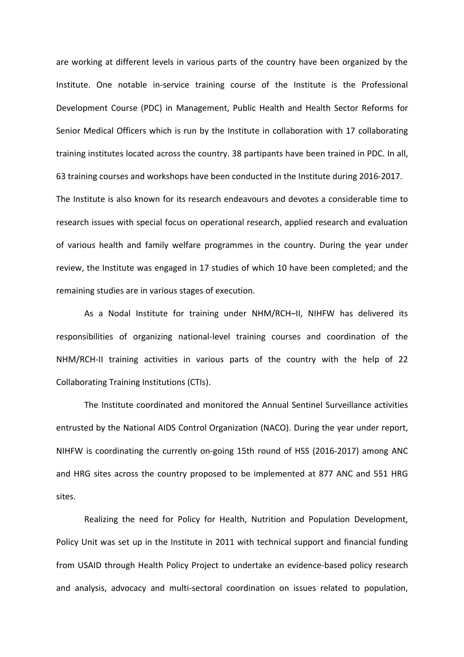are working at different levels in various parts of the country have been organized by the Institute. One notable in-service training course of the Institute is the Professional Development Course (PDC) in Management, Public Health and Health Sector Reforms for Senior Medical Officers which is run by the Institute in collaboration with 17 collaborating training institutes located across the country. 38 partipants have been trained in PDC. In all, 63 training courses and workshops have been conducted in the Institute during 2016-2017. The Institute is also known for its research endeavours and devotes a considerable time to research issues with special focus on operational research, applied research and evaluation of various health and family welfare programmes in the country. During the year under review, the Institute was engaged in 17 studies of which 10 have been completed; and the remaining studies are in various stages of execution.

As a Nodal Institute for training under NHM/RCH–II, NIHFW has delivered its responsibilities of organizing national-level training courses and coordination of the NHM/RCH-II training activities in various parts of the country with the help of 22 Collaborating Training Institutions (CTIs).

The Institute coordinated and monitored the Annual Sentinel Surveillance activities entrusted by the National AIDS Control Organization (NACO). During the year under report, NIHFW is coordinating the currently on-going 15th round of HSS (2016-2017) among ANC and HRG sites across the country proposed to be implemented at 877 ANC and 551 HRG sites.

Realizing the need for Policy for Health, Nutrition and Population Development, Policy Unit was set up in the Institute in 2011 with technical support and financial funding from USAID through Health Policy Project to undertake an evidence-based policy research and analysis, advocacy and multi-sectoral coordination on issues related to population,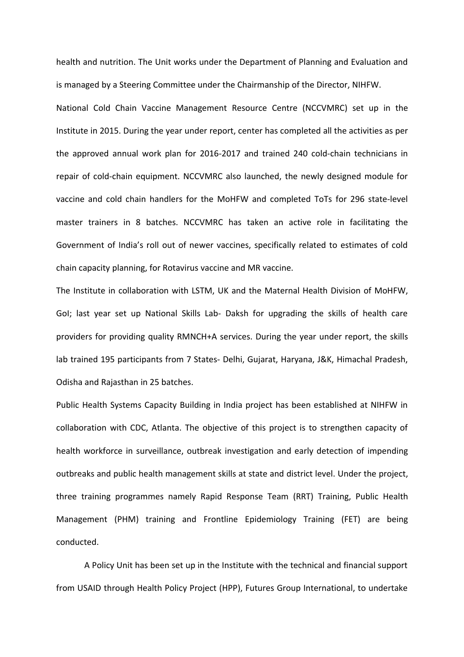health and nutrition. The Unit works under the Department of Planning and Evaluation and is managed by a Steering Committee under the Chairmanship of the Director, NIHFW.

National Cold Chain Vaccine Management Resource Centre (NCCVMRC) set up in the Institute in 2015. During the year under report, center has completed all the activities as per the approved annual work plan for 2016-2017 and trained 240 cold-chain technicians in repair of cold-chain equipment. NCCVMRC also launched, the newly designed module for vaccine and cold chain handlers for the MoHFW and completed ToTs for 296 state-level master trainers in 8 batches. NCCVMRC has taken an active role in facilitating the Government of India's roll out of newer vaccines, specifically related to estimates of cold chain capacity planning, for Rotavirus vaccine and MR vaccine.

The Institute in collaboration with LSTM, UK and the Maternal Health Division of MoHFW, GoI; last year set up National Skills Lab- Daksh for upgrading the skills of health care providers for providing quality RMNCH+A services. During the year under report, the skills lab trained 195 participants from 7 States- Delhi, Gujarat, Haryana, J&K, Himachal Pradesh, Odisha and Rajasthan in 25 batches.

Public Health Systems Capacity Building in India project has been established at NIHFW in collaboration with CDC, Atlanta. The objective of this project is to strengthen capacity of health workforce in surveillance, outbreak investigation and early detection of impending outbreaks and public health management skills at state and district level. Under the project, three training programmes namely Rapid Response Team (RRT) Training, Public Health Management (PHM) training and Frontline Epidemiology Training (FET) are being conducted.

A Policy Unit has been set up in the Institute with the technical and financial support from USAID through Health Policy Project (HPP), Futures Group International, to undertake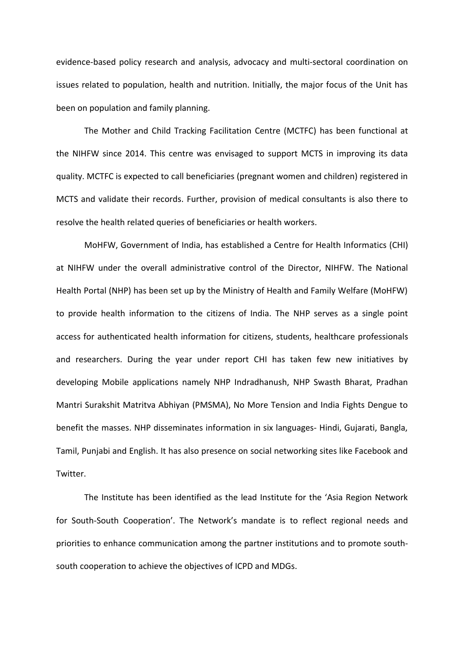evidence-based policy research and analysis, advocacy and multi-sectoral coordination on issues related to population, health and nutrition. Initially, the major focus of the Unit has been on population and family planning.

The Mother and Child Tracking Facilitation Centre (MCTFC) has been functional at the NIHFW since 2014. This centre was envisaged to support MCTS in improving its data quality. MCTFC is expected to call beneficiaries (pregnant women and children) registered in MCTS and validate their records. Further, provision of medical consultants is also there to resolve the health related queries of beneficiaries or health workers.

MoHFW, Government of India, has established a Centre for Health Informatics (CHI) at NIHFW under the overall administrative control of the Director, NIHFW. The National Health Portal (NHP) has been set up by the Ministry of Health and Family Welfare (MoHFW) to provide health information to the citizens of India. The NHP serves as a single point access for authenticated health information for citizens, students, healthcare professionals and researchers. During the year under report CHI has taken few new initiatives by developing Mobile applications namely NHP Indradhanush, NHP Swasth Bharat, Pradhan Mantri Surakshit Matritva Abhiyan (PMSMA), No More Tension and India Fights Dengue to benefit the masses. NHP disseminates information in six languages- Hindi, Gujarati, Bangla, Tamil, Punjabi and English. It has also presence on social networking sites like Facebook and Twitter.

The Institute has been identified as the lead Institute for the 'Asia Region Network for South-South Cooperation'. The Network's mandate is to reflect regional needs and priorities to enhance communication among the partner institutions and to promote southsouth cooperation to achieve the objectives of ICPD and MDGs.